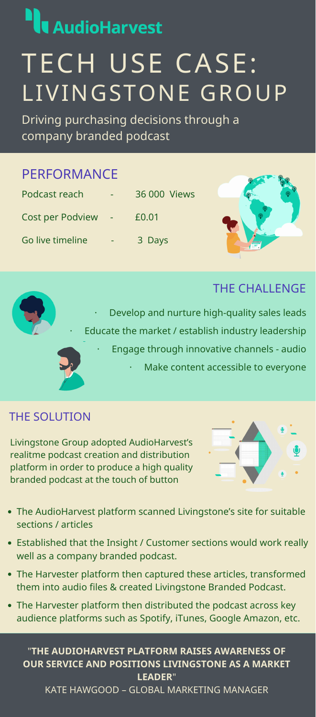

# **AudioHarvest** TECH USE CASE: LIVINGSTONE GROUP

| Podcast reach           | — | 36 000 Views |  |
|-------------------------|---|--------------|--|
| <b>Cost per Podview</b> |   | £0.01        |  |





THE SOLUTION



# THE CHALLENGE

Driving purchasing decisions through a company branded podcast

# PERFORMANCE

## "**THE AUDIOHARVEST PLATFORM RAISES AWARENESS OF OUR SERVICE AND POSITIONS LIVINGSTONE AS A MARKET LEADER**" KATE HAWGOOD – GLOBAL MARKETING MANAGER

Livingstone Group adopted AudioHarvest's realitme podcast creation and distribution platform in order to produce a high quality branded podcast at the touch of button



- The AudioHarvest platform scanned Livingstone's site for suitable sections / articles
- Established that the Insight / Customer sections would work really well as a company branded podcast.
- The Harvester platform then captured these articles, transformed them into audio files & created Livingstone Branded Podcast.
- The Harvester platform then distributed the podcast across key audience platforms such as Spotify, iTunes, Google Amazon, etc.